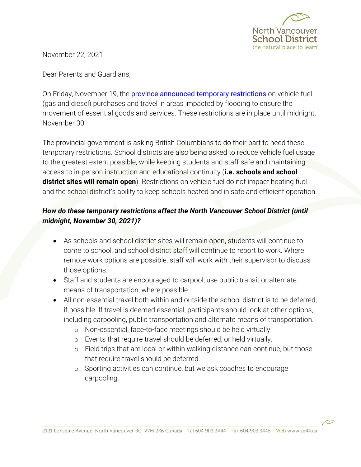

November 22, 2021

Dear Parents and Guardians,

On Friday, November 19, the **[province announced temporary restrictions](https://www2.gov.bc.ca/gov/content/natural-disaster/support/restrictions)** on vehicle fuel (gas and diesel) purchases and travel in areas impacted by flooding to ensure the movement of essential goods and services. These restrictions are in place until midnight, November 30.

The provincial government is asking British Columbians to do their part to heed these temporary restrictions. School districts are also being asked to reduce vehicle fuel usage to the greatest extent possible, while keeping students and staff safe and maintaining access to in-person instruction and educational continuity (**i.e. schools and school district sites will remain open**). Restrictions on vehicle fuel do not impact heating fuel and the school district's ability to keep schools heated and in safe and efficient operation.

## *How do these temporary restrictions affect the North Vancouver School District (until midnight, November 30, 2021)?*

- As schools and school district sites will remain open, students will continue to come to school, and school district staff will continue to report to work. Where remote work options are possible, staff will work with their supervisor to discuss those options.
- Staff and students are encouraged to carpool, use public transit or alternate means of transportation, where possible.
- All non-essential travel both within and outside the school district is to be deferred, if possible. If travel is deemed essential, participants should look at other options, including carpooling, public transportation and alternate means of transportation.
	- o Non-essential, face-to-face meetings should be held virtually.
	- o Events that require travel should be deferred, or held virtually.
	- o Field trips that are local or within walking distance can continue, but those that require travel should be deferred.
	- o Sporting activities can continue, but we ask coaches to encourage carpooling.